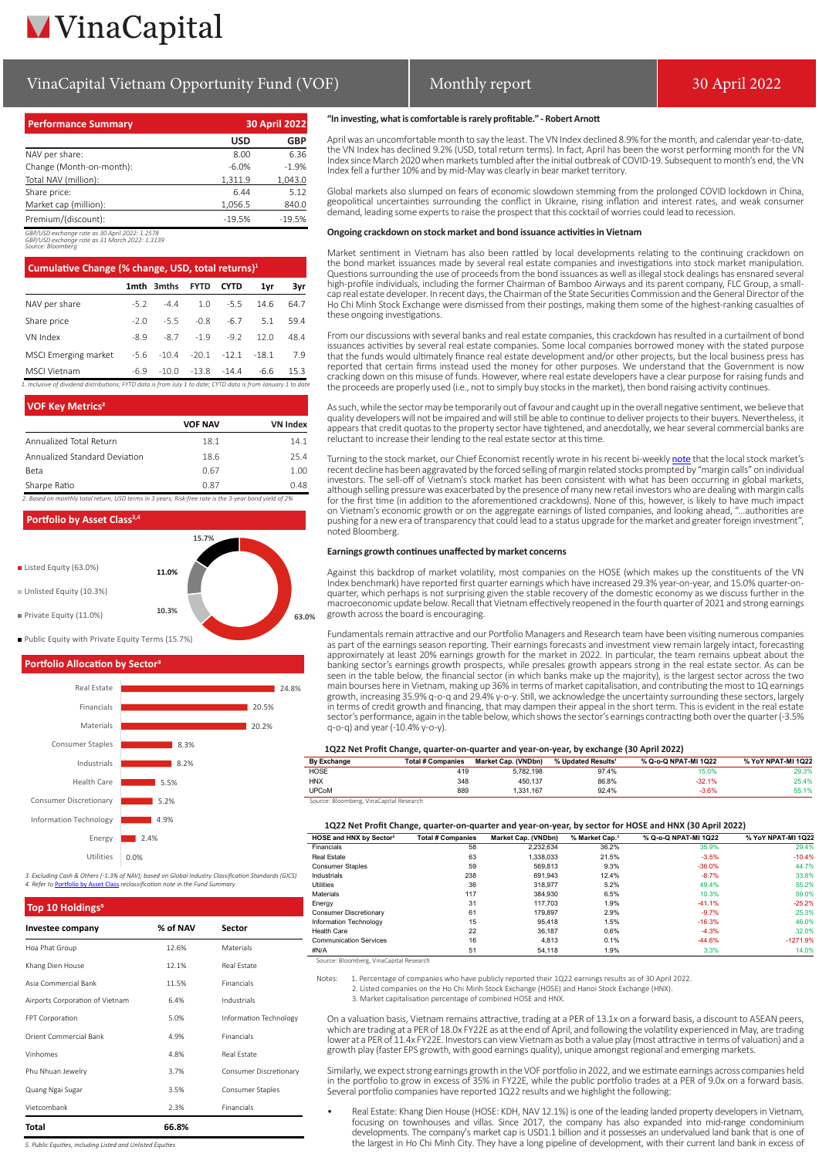# **VinaCapital**

### VinaCapital Vietnam Opportunity Fund (VOF) Monthly report 1998 1998 1998 1998 1998

#### **Performance Summary 30 April 2022 USD GBP** NAV per share: 8.00 6.36 Change (Month-on-month):  $-6.0\%$  -1.9% -1.9%<br>
Total NAV (million):  $1.311.9$  1.043.0 Total NAV (million): 1,311.9 Share price: 6.44 5.12 Market cap (million): 1,056.5 840.0 Premium/(discount): -19.5% -19.5%

*GBP/USD exchange rate as 30 April 2022: 1.2578 GBP/USD exchange rate as 31 March 2022: 1.3139*

*Source: Bloomberg*

| 1mth 3mths<br>$-44$<br>$-52$<br>$-5.5$<br>$-2.0$ | <b>FYTD</b><br>1.0<br>$-0.8$ | <b>CYTD</b><br>$-5.5$<br>$-6.7$ | 1yr<br>14.6<br>5.1 | 3yr<br>64.7<br>59.4                                                                                           |
|--------------------------------------------------|------------------------------|---------------------------------|--------------------|---------------------------------------------------------------------------------------------------------------|
|                                                  |                              |                                 |                    |                                                                                                               |
|                                                  |                              |                                 |                    |                                                                                                               |
|                                                  |                              |                                 |                    |                                                                                                               |
| $-87$                                            | $-1.9$                       | $-9.2$                          | 120                | 48.4                                                                                                          |
|                                                  | $-20.1$                      | $-12.1$                         | $-18.1$            | 7.9                                                                                                           |
|                                                  |                              | $-14.4$                         | $-6.6$             | 15.3                                                                                                          |
|                                                  | $-89$<br>$-5.6$<br>$-6.9$    | $-10.4$<br>$-10.0$              | $-13.8$            | 1. Inclusive of dividend distributions: FYTD data is from July 1 to date: CYTD data is from January 1 to date |

**VOF Key Metrics<sup>2</sup> VOF NAV VN Index** Annualized Total Return 18.1 18.1 14.1 Annualized Standard Deviation 18.6 25.4 Beta 2.00 Sharpe Ratio 0.87 0.48

*2. Based on monthly total return, USD terms in 3 years; Risk-free rate is the 3-year bond yield of 2%*



#### **Portfolio Allocation by Sector**



*3. Excluding Cash & Others (-1.3% of NAV); based on Global Industry Classification Standards (GICS)* **A. Reference in the Fund Summan** 

| Top 10 Holdings <sup>5</sup>    |          |                        |  |  |  |
|---------------------------------|----------|------------------------|--|--|--|
| Investee company                | % of NAV | Sector                 |  |  |  |
| Hoa Phat Group                  | 12.6%    | Materials              |  |  |  |
| Khang Dien House                | 12.1%    | Real Estate            |  |  |  |
| Asia Commercial Bank            | 11.5%    | Financials             |  |  |  |
| Airports Corporation of Vietnam | 6.4%     | Industrials            |  |  |  |
| FPT Corporation                 | 5.0%     | Information Technology |  |  |  |
| Orient Commercial Bank          | 4.9%     | Financials             |  |  |  |
| Vinhomes                        | 4.8%     | Real Estate            |  |  |  |
| Phu Nhuan Jewelry               | 3.7%     | Consumer Discretionary |  |  |  |
| Quang Ngai Sugar                | 3.5%     | Consumer Staples       |  |  |  |
| Vietcombank                     | 2.3%     | Financials             |  |  |  |
| Total                           | 66.8%    |                        |  |  |  |

#### **"In investing, what is comfortable is rarely profitable." - Robert Arnott**

April was an uncomfortable month to say the least. The VN Index declined 8.9% for the month, and calendar year-to-date, the VN Index has declined 9.2% (USD, total return terms). In fact, April has been the worst performing month for the VN Index since March 2020 when markets tumbled after the initial outbreak of COVID-19. Subsequent to month's end, the VN Index fell a further 10% and by mid-May was clearly in bear market territory.

Global markets also slumped on fears of economic slowdown stemming from the prolonged COVID lockdown in China,<br>geopolitical uncertainties surrounding the conflict in Ukraine, rising inflation and interest rates, and weak c

#### **Ongoing crackdown on stock market and bond issuance activities in Vietnam**

Market sentiment in Vietnam has also been rattled by local developments relating to the continuing crackdown on the bond market issuances made by several real estate companies and investigations into stock market manipulation.<br>Questions surrounding the use of proceeds from the bond issuances as well as illegal stock dealings has ens high-profile individuals, including the former Chairman of Bamboo Airways and its parent company, FLC Group, a small-<br>cap real estate developer. In recent days, the Chairman of the State Securities Commission and the Gener these ongoing investigations.

From our discussions with several banks and real estate companies, this crackdown has resulted in a curtailment of bond issuances activities by several real estate companies. Some local companies borrowed money with the stated purpose<br>that the funds would ultimately finance real estate development and/or other projects, but the local busine reported that certain firms instead used the money for other purposes. We understand that the Government is now cracking down on this misuse of funds. However, where real estate developers have a clear purpose for raising funds and the proceeds are properly used (i.e., not to simply buy stocks in the market), then bond raising activity continues.

As such, while the sector may be temporarily out of favour and caught up in the overall negative sentiment, we believe that quality developers will not be impaired and will still be able to continue to deliver projects to their buyers. Nevertheless, it<br>appears that credit quotas to the property sector have tightened, and anecdotally, we hear se reluctant to increase their lending to the real estate sector at this time.

Turning to the stock market, our Chief Economist recently wrote in his recent bi-weekly [note](https://vinacapital.com/wp-content/uploads/2022/05/Vietnam%E2%80%99s-Economy-is-Strong-So-Why-is-the-Stock-Market-Selling-Off.pdf) that the local stock market's recent decline has been aggravated by the forced selling of margin related stocks prompted by "margin calls" on individual investors. The sell-off of Vietnam's stock market has been consistent with what has been occurring in global markets,<br>although selling pressure was exacerbated by the presence of many new retail investors who are dealing w for the first time (in addition to the aforementioned crackdowns). None of this, however, is likely to have much impact on Vietnam's economic growth or on the aggregate earnings of listed companies, and looking ahead, "…authorities are<br>pushing for a new era of transparency that could lead to a status upgrade for the market and greater forei noted Bloomberg.

#### **Earnings growth continues unaffected by market concerns**

Against this backdrop of market volatility, most companies on the HOSE (which makes up the constituents of the VN<br>Index benchmark) have reported first quarter earnings which have increased 29.3% year-on-year, and 15.0% qua quarter, which perhaps is not surprising given the stable recovery of the domestic economy as we discuss further in the macroeconomic update below. Recall that Vietnam effectively reopened in the fourth quarter of 2021 and strong earnings growth across the board is encouraging.

Fundamentals remain attractive and our Portfolio Managers and Research team have been visiting numerous companies<br>as part of the earnings season reporting. Their earnings forecasts and investment view remain largely intact approximately at least 20% earnings growth for the market in 2022. In particular, the team remains upbeat about the banking sector's earnings growth prospects, while presales growth appears strong in the real estate sector. As can be<br>seen in the table below, the financial sector (in which banks make up the majority), is the largest sect main bourses here in Vietnam, making up 36% in terms of market capitalisation, and contributing the most to 1Q earnings growth, increasing 35.9% q-o-q and 29.4% y-o-y. Still, we acknowledge the uncertainty surrounding these sectors, largely<br>in terms of credit growth and financing, that may dampen their appeal in the short term. This is evid sector's performance, again in the table below, which shows the sector's earnings contracting both over the quarter (-3.5% q-o-q) and year (-10.4% y-o-y).

#### **1Q22 Net Profit Change, quarter-on-quarter and year-on-year, by exchange (30 April 2022)**

| By Exchange  | <b>Total # Companies</b> | Market Cap. (VNDbn) | % Updated Results <sup>1</sup> | % Q-o-Q NPAT-MI 1Q22 | % YoY NPAT-MI 1Q22 |  |
|--------------|--------------------------|---------------------|--------------------------------|----------------------|--------------------|--|
| <b>HOSE</b>  | 419                      | 5.782.198           | 97.4%                          | 15.0%                | 29.3%              |  |
| <b>HNX</b>   | 348                      | 450.137             | 86.8%                          | $-32.1%$             | 25.4%              |  |
| <b>UPCoM</b> | 889                      | 1.331.167           | 92.4%                          | $-3.6%$              | 55.1%              |  |
|              |                          |                     |                                |                      |                    |  |

ce: Bloomberg, VinaCapital Research

| HOSE and HNX by Sector <sup>2</sup> | <b>Total # Companies</b> | Market Cap. (VNDbn) | % Market Cap. <sup>3</sup> | % Q-o-Q NPAT-MI 1Q22 | % YoY NPAT-MI 1Q22 |
|-------------------------------------|--------------------------|---------------------|----------------------------|----------------------|--------------------|
| Financials                          | 58                       | 2.232.634           | 36.2%                      | 35.9%                | 29.4%              |
| Real Estate                         | 63                       | 1.338.033           | 21.5%                      | $-3.5%$              | $-10.4%$           |
| <b>Consumer Staples</b>             | 59                       | 569.813             | 9.3%                       | $-36.0%$             | 44.7%              |
| Industrials                         | 238                      | 691.943             | 12.4%                      | $-8.7%$              | 33.8%              |
| <b>Utilities</b>                    | 36                       | 318,977             | 5.2%                       | 49.4%                | 55.2%              |
| <b>Materials</b>                    | 117                      | 384.930             | 6.5%                       | 10.3%                | 59.0%              |
| Energy                              | 31                       | 117.703             | 1.9%                       | $-41.1%$             | $-25.2%$           |
| <b>Consumer Discretionary</b>       | 61                       | 179.897             | 2.9%                       | $-9.7%$              | 25.3%              |
| Information Technology              | 15                       | 95.418              | 1.5%                       | $-16.3%$             | 46.0%              |
| Health Care                         | 22                       | 36.187              | 0.6%                       | $-4.3%$              | 32.0%              |
| <b>Communication Services</b>       | 16                       | 4.813               | 0.1%                       | $-44.6%$             | $-1271.9%$         |
| #N/A                                | 51                       | 54.118              | 1.9%                       | 3.3%                 | 14.0%              |

Source: Bloomberg, VinaCapital Research

Notes: 1. Percentage of companies who have publicly reported their 1Q22 earnings results as of 30 April 2022. 2. Listed companies on the Ho Chi Minh Stock Exchange (HOSE) and Hanoi Stock Exchange (HNX).

3. Market capitalisation percentage of combined HOSE and HNX.

On a valuation basis, Vietnam remains attractive, trading at a PER of 13.1x on a forward basis, a discount to ASEAN peers, which are trading at a PER of 18.0x FY22E as at the end of April, and following the volatility experienced in May, are trading lower at a PER of 11.4x FY22E. Investors can view Vietnam as both a value play (most attractive in terms of valuation) and a growth play (faster EPS growth, with good earnings quality), unique amongst regional and emerging markets.

Similarly, we expect strong earnings growth in the VOF portfolio in 2022, and we estimate earnings across companies held in the portfolio to grow in excess of 35% in FY22E, while the public portfolio trades at a PER of 9.0x on a forward basis. Several portfolio companies have reported 1Q22 results and we highlight the following:

• Real Estate: Khang Dien House (HOSE: KDH, NAV 12.1%) is one of the leading landed property developers in Vietnam, focusing on townhouses and villas. Since 2017, the company has also expanded into mid-range condominium developments. The company's market cap is USD1.1 billion and it possesses an undervalued land bank that is one of the largest in Ho Chi Minh City. They have a long pipeline of development, with their current land bank in excess of

*5. Public Equities, including Listed and Unlisted Equities*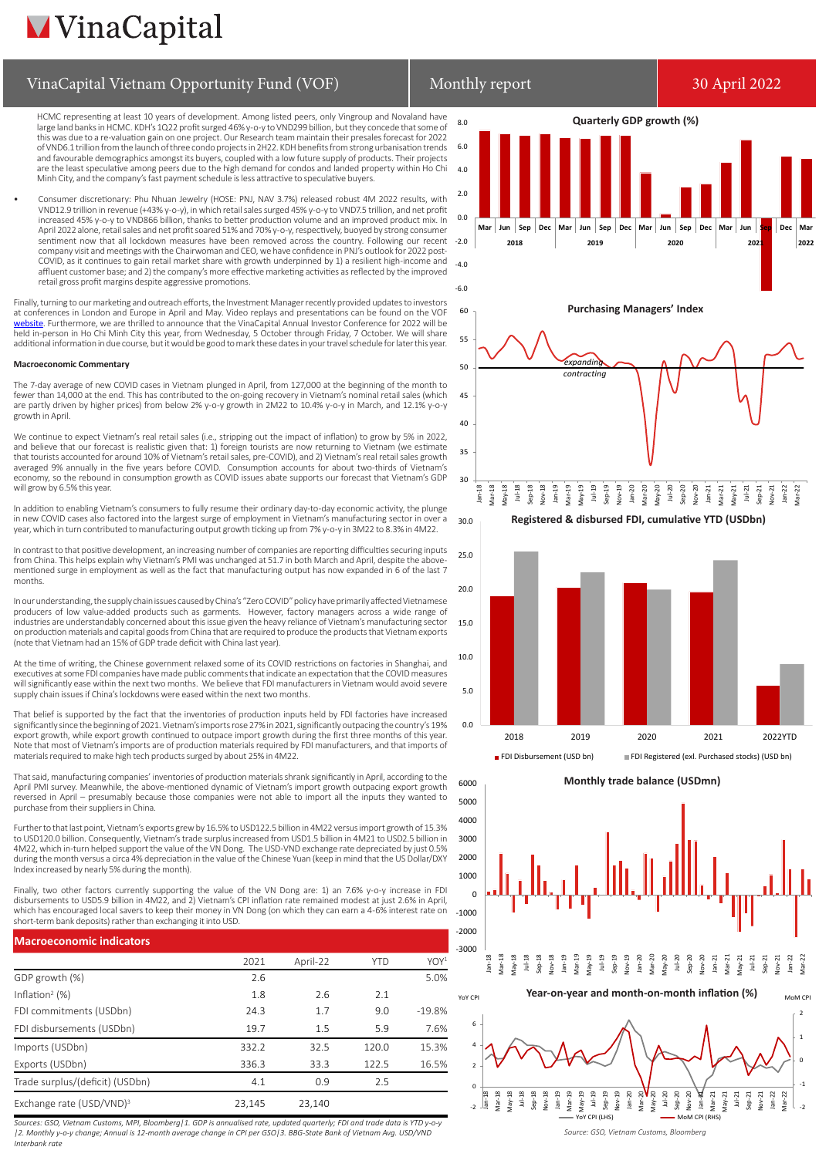## **MVinaCapital**

## VinaCapital Vietnam Opportunity Fund (VOF) Monthly report 1998 and 19922

HCMC representing at least 10 years of development. Among listed peers, only Vingroup and Novaland have large land banks in HCMC. KDH's 1Q22 profit surged 46% y-o-y to VND299 billion, but they concede that some of this was due to a re-valuation gain on one project. Our Research team maintain their presales forecast for 2022 of VND6.1 trillion from the launch of three condo projects in 2H22. KDH benefits from strong urbanisation trends and favourable demographics amongst its buyers, coupled with a low future supply of products. Their projects are the least speculative among peers due to the high demand for condos and landed property within Ho Chi Minh City, and the company's fast payment schedule is less attractive to speculative buyers.

• Consumer discretionary: Phu Nhuan Jewelry (HOSE: PNJ, NAV 3.7%) released robust 4M 2022 results, with VND12.9 trillion in revenue (+43% y-o-y), in which retail sales surged 45% y-o-y to VND7.5 trillion, and net profit increased 45% y-o-y to VND866 billion, thanks to better production volume and an improved product mix. In April 2022 alone, retail sales and net profit soared 51% and 70% y-o-y, respectively, buoyed by strong consumer sentiment now that all lockdown measures have been removed across the country. Following our recent company visit and meetings with the Chairwoman and CEO, we have confidence in PNJ's outlook for 2022 post-COVID, as it continues to gain retail market share with growth underpinned by 1) a resilient high-income and affluent customer base; and 2) the company's more effective marketing activities as reflected by the improved retail gross profit margins despite aggressive promotions.

Finally, turning to our marketing and outreach efforts, the Investment Manager recently provided updates to investors<br>at conferences in London and Europe in April and May. Video replays and presentations can be found on th <mark>ebsite</mark>. Furthermore, we are thrilled to announce that the VinaCapital Annual Investor Conference for 2022 will be held in-person in Ho Chi Minh City this year, from Wednesday, 5 October through Friday, 7 October. We will share additional information in due course, but it would be good to mark these dates in your travel schedule for later this year.

#### **Macroeconomic Commentary**

The 7-day average of new COVID cases in Vietnam plunged in April, from 127,000 at the beginning of the month to fewer than 14,000 at the end. This has contributed to the on-going recovery in Vietnam's nominal retail sales (which are partly driven by higher prices) from below 2% y-o-y growth in 2M22 to 10.4% y-o-y in March, and 12.1% y-o-y growth in April.

We continue to expect Vietnam's real retail sales (i.e., stripping out the impact of inflation) to grow by 5% in 2022, and believe that our forecast is realistic given that: 1) foreign tourists are now returning to Vietnam (we estimate and believe that our forecast is realistic given that: 1) foreign tourists are now returning to Vietnam ( that tourists accounted for around 10% of Vietnam's retail sales, pre-COVID), and 2) Vietnam's real retail sales growth<br>averaged 9% annually in the five years before COVID. Consumption accounts for about two-thirds of Vi economy, so the rebound in consumption growth as COVID issues abate supports our forecast that Vietnam's GDP will grow by 6.5% this year.

In addition to enabling Vietnam's consumers to fully resume their ordinary day-to-day economic activity, the plunge in new COVID cases also factored into the largest surge of employment in Vietnam's manufacturing sector in over a year, which in turn contributed to manufacturing output growth ticking up from 7% y-o-y in 3M22 to 8.3% in 4M22. 30.0

In contrast to that positive development, an increasing number of companies are reporting difficulties securing inputs from China. This helps explain why Vietnam's PMI was unchanged at 51.7 in both March and April, despite the abovementioned surge in employment as well as the fact that manufacturing output has now expanded in 6 of the last 7 months.

In our understanding, the supply chain issues caused by China's "Zero COVID" policy have primarily affected Vietnamese producers of low value-added products such as garments. However, factory managers across a wide range of industries are understandably concerned about this issue given the heavy reliance of Vietnam's manufacturing sector on production materials and capital goods from China that are required to produce the products that Vietnam exports (note that Vietnam had an 15% of GDP trade deficit with China last year).

At the time of writing, the Chinese government relaxed some of its COVID restrictions on factories in Shanghai, and executives at some FDI companies have made public comments that indicate an expectation that the COVID measures<br>will significantly ease within the next two months. We believe that FDI manufacturers in Vietnam would avoid s supply chain issues if China's lockdowns were eased within the next two months.

That belief is supported by the fact that the inventories of production inputs held by FDI factories have increased significantly since the beginning of 2021. Vietnam's imports rose 27% in 2021, significantly outpacing the country's 19% export growth, while export growth continued to outpace import growth during the first three months of this year. Note that most of Vietnam's imports are of production materials required by FDI manufacturers, and that imports of materials required to make high tech products surged by about 25% in 4M22.

That said, manufacturing companies' inventories of production materials shrank significantly in April, according to the April PMI survey. Meanwhile, the above-mentioned dynamic of Vietnam's import growth outpacing export growth reversed in April – presumably because those companies were not able to import all the inputs they wanted to purchase from their suppliers in China. 6000

Further to that last point, Vietnam's exports grew by 16.5% to USD122.5 billion in 4M22 versus import growth of 15.3% to USD120.0 billion. Consequently, Vietnam's trade surplus increased from USD1.5 billion in 4M21 to USD2.5 billion in 4M22, which in-turn helped support the value of the VN Dong. The USD-VND exchange rate depreciated by just 0.5% during the month versus a circa 4% depreciation in the value of the Chinese Yuan (keep in mind that the US Dollar/DXY Index increased by nearly 5% during the month).

Finally, two other factors currently supporting the value of the VN Dong are: 1) an 7.6% y-o-y increase in FDI<br>disbursements to USD5.9 billion in 4M22, and 2) Vietnam's CPI inflation rate remained modest at just 2.6% in Ap which has encouraged local savers to keep their money in VN Dong (on which they can earn a 4-6% interest rate on short-term bank deposits) rather than exchanging it into USD.

| <b>Macroeconomic indicators</b>      |        |          |            |                  |  |  |  |
|--------------------------------------|--------|----------|------------|------------------|--|--|--|
|                                      | 2021   | April-22 | <b>YTD</b> | YOY <sup>1</sup> |  |  |  |
| GDP growth (%)                       | 2.6    |          |            | 5.0%             |  |  |  |
| Inflation <sup>2</sup> $(\%)$        | 1.8    | 2.6      | 2.1        |                  |  |  |  |
| FDI commitments (USDbn)              | 24.3   | 1.7      | 9.0        | $-19.8%$         |  |  |  |
| FDI disbursements (USDbn)            | 19.7   | 1.5      | 5.9        | 7.6%             |  |  |  |
| Imports (USDbn)                      | 332.2  | 32.5     | 120.0      | 15.3%            |  |  |  |
| Exports (USDbn)                      | 336.3  | 33.3     | 122.5      | 16.5%            |  |  |  |
| Trade surplus/(deficit) (USDbn)      | 4.1    | 0.9      | 2.5        |                  |  |  |  |
| Exchange rate (USD/VND) <sup>3</sup> | 23,145 | 23,140   |            |                  |  |  |  |

*Sources: GSO, Vietnam Customs, MPI, Bloomberg|1. GDP is annualised rate, updated quarterly; FDI and trade data is YTD y-o-y |2. Monthly y-o-y change; Annual is 12-month average change in CPI per GSO|3. BBG-State Bank of Vietnam Avg. USD/VND Interbank rate*

# 8.0





**Registered & disbursed FDI, cumulative YTD (USDbn)**



**Monthly trade balance (USDmn)**





*Source: GSO, Vietnam Customs, Bloomberg*